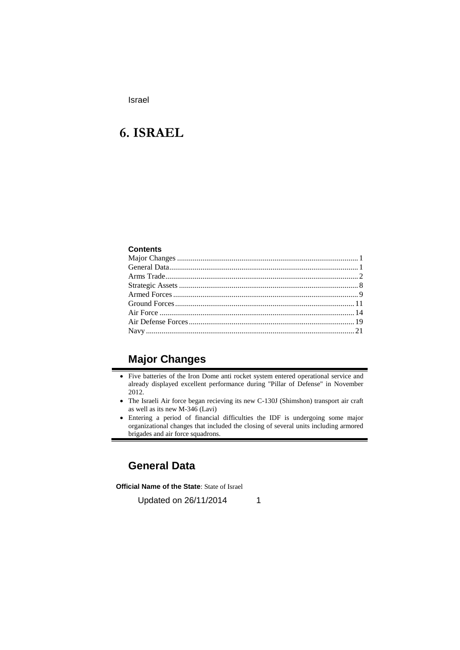# **6. ISRAEL**

#### **Contents**

## **Major Changes**

- Five batteries of the Iron Dome anti rocket system entered operational service and already displayed excellent performance during "Pillar of Defense" in November 2012.
- The Israeli Air force began recieving its new C-130J (Shimshon) transport air craft as well as its new M-346 (Lavi)
- Entering a period of financial difficulties the IDF is undergoing some major organizational changes that included the closing of several units including armored brigades and air force squadrons.

## **General Data**

**Official Name of the State**: State of Israel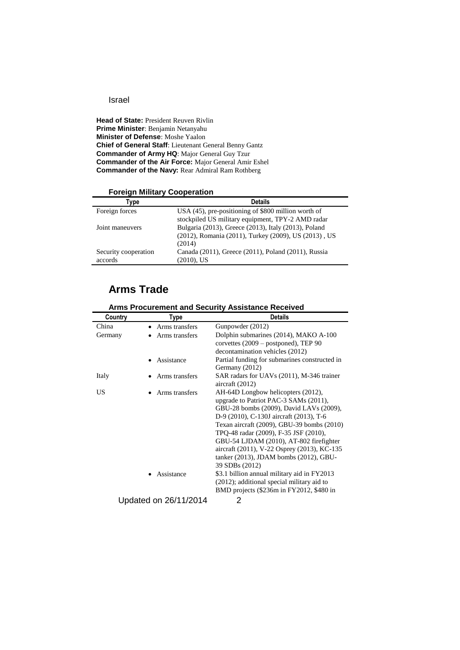**Head of State: President Reuven Rivlin Prime Minister**: Benjamin Netanyahu **Minister of Defense**: Moshe Yaalon **Chief of General Staff**: Lieutenant General Benny Gantz **Commander of Army HQ**: Major General Guy Tzur **Commander of the Air Force:** Major General Amir Eshel **Commander of the Navy:** Rear Admiral Ram Rothberg

| Type                 | <b>Details</b>                                       |
|----------------------|------------------------------------------------------|
| Foreign forces       | USA (45), pre-positioning of \$800 million worth of  |
|                      | stockpiled US military equipment, TPY-2 AMD radar    |
| Joint maneuvers      | Bulgaria (2013), Greece (2013), Italy (2013), Poland |
|                      | (2012), Romania (2011), Turkey (2009), US (2013), US |
|                      | (2014)                                               |
| Security cooperation | Canada (2011), Greece (2011), Poland (2011), Russia  |
| accords              | $(2010)$ , US                                        |

### **Foreign Military Cooperation**

## **Arms Trade**

|         | ATTIS FIUCUI BITIBIII ANU SECUNIty ASSISIANCE NECENEU |                                               |  |
|---------|-------------------------------------------------------|-----------------------------------------------|--|
| Country | Type                                                  | <b>Details</b>                                |  |
| China   | Arms transfers                                        | Gunpowder (2012)                              |  |
| Germany | Arms transfers                                        | Dolphin submarines (2014), MAKO A-100         |  |
|         |                                                       | corvettes (2009 – postponed), TEP 90          |  |
|         |                                                       | decontamination vehicles (2012)               |  |
|         | Assistance                                            | Partial funding for submarines constructed in |  |
|         |                                                       | Germany (2012)                                |  |
| Italy   | Arms transfers                                        | SAR radars for UAVs (2011), M-346 trainer     |  |
|         |                                                       | aircraft $(2012)$                             |  |
| US      | Arms transfers                                        | AH-64D Longbow helicopters (2012),            |  |
|         |                                                       | upgrade to Patriot PAC-3 SAMs (2011),         |  |
|         |                                                       | GBU-28 bombs (2009), David LAVs (2009),       |  |
|         |                                                       | D-9 (2010), C-130J aircraft (2013), T-6       |  |
|         |                                                       | Texan aircraft (2009), GBU-39 bombs (2010)    |  |
|         |                                                       | TPO-48 radar (2009), F-35 JSF (2010),         |  |
|         |                                                       | GBU-54 LJDAM (2010), AT-802 firefighter       |  |
|         |                                                       | aircraft (2011), V-22 Osprey (2013), KC-135   |  |
|         |                                                       | tanker (2013), JDAM bombs (2012), GBU-        |  |
|         |                                                       | 39 SDBs (2012)                                |  |
|         | Assistance                                            | \$3.1 billion annual military aid in FY2013   |  |
|         |                                                       | (2012); additional special military aid to    |  |
|         |                                                       | BMD projects (\$236m in FY2012, \$480 in      |  |
|         | Updated on 26/11/2014                                 | 2                                             |  |

### **Arms Procurement and Security Assistance Received**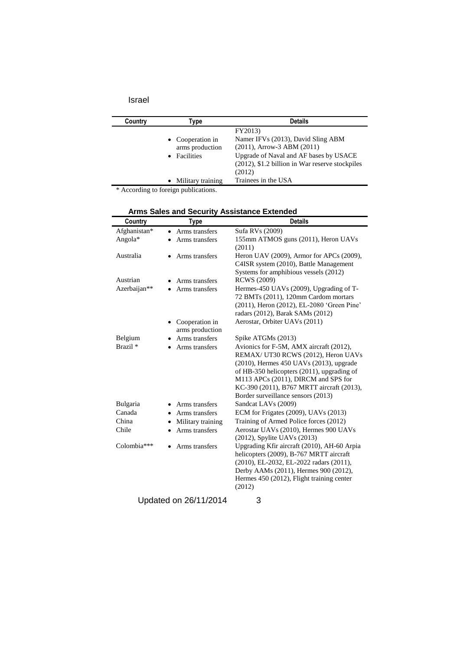| Country | Type                                                | <b>Details</b>                                                                                                                                                                          |
|---------|-----------------------------------------------------|-----------------------------------------------------------------------------------------------------------------------------------------------------------------------------------------|
|         | • Cooperation in<br>arms production<br>• Facilities | FY2013)<br>Namer IFVs (2013), David Sling ABM<br>$(2011)$ , Arrow-3 ABM $(2011)$<br>Upgrade of Naval and AF bases by USACE<br>(2012), \$1.2 billion in War reserve stockpiles<br>(2012) |
|         | Military training<br>$\bullet$                      | Trainees in the USA                                                                                                                                                                     |

\* According to foreign publications.

|     | Arms Sales and Security Assistance Extended |
|-----|---------------------------------------------|
| т…. | <b>Datails</b>                              |

| Country             | Type                              | <b>Details</b>                                                                                                                                                                                                                                                                                          |
|---------------------|-----------------------------------|---------------------------------------------------------------------------------------------------------------------------------------------------------------------------------------------------------------------------------------------------------------------------------------------------------|
| Afghanistan*        | Arms transfers<br>$\bullet$       | Sufa RVs (2009)                                                                                                                                                                                                                                                                                         |
| Angola*             | Arms transfers                    | 155mm ATMOS guns (2011), Heron UAVs<br>(2011)                                                                                                                                                                                                                                                           |
| Australia           | Arms transfers                    | Heron UAV (2009), Armor for APCs (2009),<br>C4ISR system (2010), Battle Management<br>Systems for amphibious vessels (2012)                                                                                                                                                                             |
| Austrian            | Arms transfers                    | <b>RCWS</b> (2009)                                                                                                                                                                                                                                                                                      |
| Azerbaijan**        | Arms transfers                    | Hermes-450 UAVs (2009), Upgrading of T-<br>72 BMTs (2011), 120mm Cardom mortars<br>(2011), Heron (2012), EL-2080 'Green Pine'<br>radars (2012), Barak SAMs (2012)                                                                                                                                       |
|                     | Cooperation in<br>arms production | Aerostar, Orbiter UAVs (2011)                                                                                                                                                                                                                                                                           |
| Belgium             | Arms transfers                    | Spike ATGMs (2013)                                                                                                                                                                                                                                                                                      |
| Brazil <sup>*</sup> | Arms transfers                    | Avionics for F-5M, AMX aircraft (2012),<br>REMAX/ UT30 RCWS (2012), Heron UAVs<br>$(2010)$ , Hermes 450 UAVs $(2013)$ , upgrade<br>of HB-350 helicopters (2011), upgrading of<br>M113 APCs (2011), DIRCM and SPS for<br>KC-390 (2011), B767 MRTT aircraft (2013),<br>Border surveillance sensors (2013) |
| Bulgaria            | Arms transfers                    | Sandcat LAVs (2009)                                                                                                                                                                                                                                                                                     |
| Canada              | Arms transfers                    | ECM for Frigates (2009), UAVs (2013)                                                                                                                                                                                                                                                                    |
| China               | Military training                 | Training of Armed Police forces (2012)                                                                                                                                                                                                                                                                  |
| Chile               | Arms transfers                    | Aerostar UAVs (2010), Hermes 900 UAVs<br>(2012), Spylite UAVs (2013)                                                                                                                                                                                                                                    |
| Colombia***         | Arms transfers                    | Upgrading Kfir aircraft (2010), AH-60 Arpia<br>helicopters (2009), B-767 MRTT aircraft<br>(2010), EL-2032, EL-2022 radars (2011),<br>Derby AAMs (2011), Hermes 900 (2012),<br>Hermes 450 (2012), Flight training center<br>(2012)                                                                       |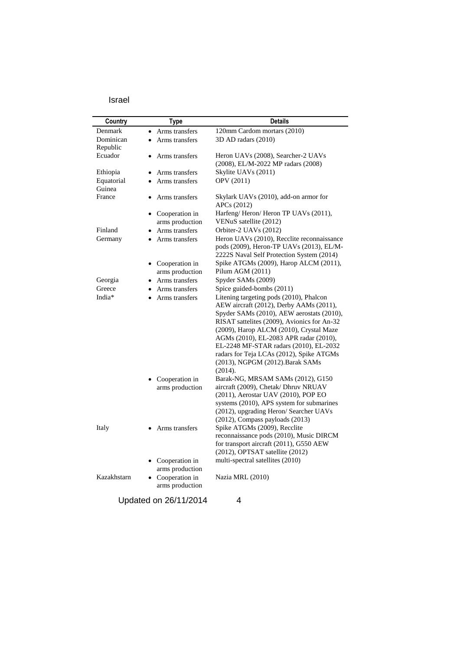| Country     | <b>Type</b>                 | <b>Details</b>                                                                           |
|-------------|-----------------------------|------------------------------------------------------------------------------------------|
| Denmark     | Arms transfers<br>$\bullet$ | 120mm Cardom mortars (2010)                                                              |
| Dominican   | Arms transfers<br>$\bullet$ | 3D AD radars (2010)                                                                      |
| Republic    |                             |                                                                                          |
| Ecuador     | Arms transfers              | Heron UAVs (2008), Searcher-2 UAVs                                                       |
|             |                             | (2008), EL/M-2022 MP radars (2008)                                                       |
| Ethiopia    | Arms transfers              | Skylite UAVs (2011)                                                                      |
| Equatorial  | Arms transfers              | OPV (2011)                                                                               |
| Guinea      |                             |                                                                                          |
| France      | Arms transfers              | Skylark UAVs (2010), add-on armor for                                                    |
|             |                             | APCs (2012)                                                                              |
|             | • Cooperation in            | Harfeng/Heron/Heron TP UAVs (2011),                                                      |
|             | arms production             | VENuS satellite (2012)                                                                   |
| Finland     | Arms transfers              | Orbiter-2 UAVs (2012)                                                                    |
| Germany     | Arms transfers<br>$\bullet$ | Heron UAVs (2010), Recclite reconnaissance                                               |
|             |                             | pods (2009), Heron-TP UAVs (2013), EL/M-                                                 |
|             |                             | 2222S Naval Self Protection System (2014)                                                |
|             | Cooperation in              | Spike ATGMs (2009), Harop ALCM (2011),                                                   |
|             | arms production             | Pilum AGM (2011)                                                                         |
| Georgia     | Arms transfers              | Spyder SAMs (2009)                                                                       |
| Greece      | Arms transfers              | Spice guided-bombs (2011)                                                                |
| India*      | Arms transfers              | Litening targeting pods (2010), Phalcon                                                  |
|             |                             | AEW aircraft (2012), Derby AAMs (2011),                                                  |
|             |                             | Spyder SAMs (2010), AEW aerostats (2010),<br>RISAT sattelites (2009), Avionics for An-32 |
|             |                             | (2009), Harop ALCM (2010), Crystal Maze                                                  |
|             |                             | AGMs (2010), EL-2083 APR radar (2010),                                                   |
|             |                             | EL-2248 MF-STAR radars (2010), EL-2032                                                   |
|             |                             | radars for Teja LCAs (2012), Spike ATGMs                                                 |
|             |                             | (2013), NGPGM (2012). Barak SAMs                                                         |
|             |                             | (2014).                                                                                  |
|             | Cooperation in              | Barak-NG, MRSAM SAMs (2012), G150                                                        |
|             | arms production             | aircraft (2009), Chetak/ Dhruv NRUAV                                                     |
|             |                             | (2011), Aerostar UAV (2010), POP EO                                                      |
|             |                             | systems (2010), APS system for submarines                                                |
|             |                             | (2012), upgrading Heron/ Searcher UAVs                                                   |
|             |                             | (2012), Compass payloads (2013)                                                          |
| Italy       | Arms transfers              | Spike ATGMs (2009), Recclite                                                             |
|             |                             | reconnaissance pods (2010), Music DIRCM                                                  |
|             |                             | for transport aircraft (2011), G550 AEW                                                  |
|             |                             | (2012), OPTSAT satellite (2012)                                                          |
|             | Cooperation in              | multi-spectral satellites (2010)                                                         |
|             | arms production             |                                                                                          |
| Kazakhstarn | Cooperation in<br>٠         | Nazia MRL (2010)                                                                         |
|             | arms production             |                                                                                          |
|             | Updated on 26/11/2014       | 4                                                                                        |
|             |                             |                                                                                          |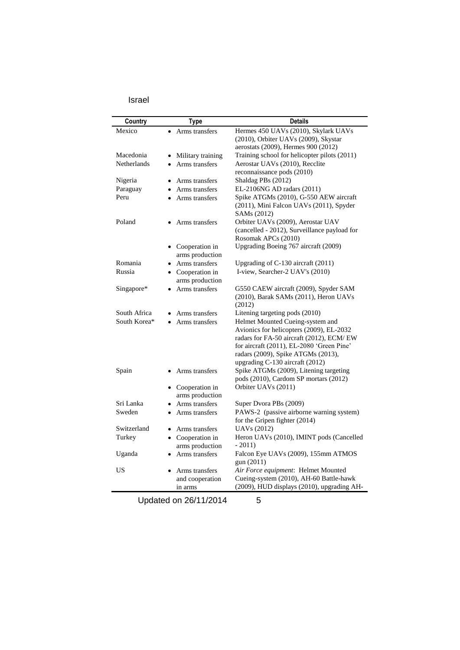| ٠<br>×<br>×<br>I<br>I |
|-----------------------|
|-----------------------|

| Country      | Type                        | <b>Details</b>                                                                    |
|--------------|-----------------------------|-----------------------------------------------------------------------------------|
| Mexico       | Arms transfers              | Hermes 450 UAVs (2010), Skylark UAVs                                              |
|              |                             | (2010), Orbiter UAVs (2009), Skystar                                              |
|              |                             | aerostats (2009), Hermes 900 (2012)                                               |
| Macedonia    | • Military training         | Training school for helicopter pilots (2011)                                      |
| Netherlands  | Arms transfers<br>$\bullet$ | Aerostar UAVs (2010), Recclite                                                    |
|              |                             | reconnaissance pods (2010)                                                        |
| Nigeria      | Arms transfers<br>$\bullet$ | Shaldag PBs (2012)                                                                |
| Paraguay     | • Arms transfers            | EL-2106NG AD radars (2011)                                                        |
| Peru         | Arms transfers              | Spike ATGMs (2010), G-550 AEW aircraft                                            |
|              |                             | (2011), Mini Falcon UAVs (2011), Spyder                                           |
|              |                             | SAMs (2012)                                                                       |
| Poland       | Arms transfers              | Orbiter UAVs (2009), Aerostar UAV<br>(cancelled - 2012), Surveillance payload for |
|              |                             | Rosomak APCs (2010)                                                               |
|              | • Cooperation in            | Upgrading Boeing 767 aircraft (2009)                                              |
|              | arms production             |                                                                                   |
| Romania      | Arms transfers              | Upgrading of C-130 aircraft (2011)                                                |
| Russia       | • Cooperation in            | I-view, Searcher-2 UAV's (2010)                                                   |
|              | arms production             |                                                                                   |
| Singapore*   | Arms transfers              | G550 CAEW aircraft (2009), Spyder SAM                                             |
|              |                             | (2010), Barak SAMs (2011), Heron UAVs                                             |
|              |                             | (2012)                                                                            |
| South Africa | Arms transfers              | Litening targeting pods (2010)                                                    |
| South Korea* | Arms transfers              | Helmet Mounted Cueing-system and                                                  |
|              |                             | Avionics for helicopters (2009), EL-2032                                          |
|              |                             | radars for FA-50 aircraft (2012), ECM/ EW                                         |
|              |                             | for aircraft (2011), EL-2080 'Green Pine'                                         |
|              |                             | radars (2009), Spike ATGMs (2013),<br>upgrading C-130 aircraft (2012)             |
| Spain        | Arms transfers              | Spike ATGMs (2009), Litening targeting                                            |
|              |                             | pods (2010), Cardom SP mortars (2012)                                             |
|              | • Cooperation in            | Orbiter UAVs (2011)                                                               |
|              | arms production             |                                                                                   |
| Sri Lanka    | • Arms transfers            | Super Dvora PBs (2009)                                                            |
| Sweden       | • Arms transfers            | PAWS-2 (passive airborne warning system)                                          |
|              |                             | for the Gripen fighter (2014)                                                     |
| Switzerland  | • Arms transfers            | <b>UAVs</b> (2012)                                                                |
| Turkey       | • Cooperation in            | Heron UAVs (2010), IMINT pods (Cancelled                                          |
|              | arms production             | $-2011$                                                                           |
| Uganda       | • Arms transfers            | Falcon Eye UAVs (2009), 155mm ATMOS                                               |
|              |                             | gun (2011)                                                                        |
| US           | Arms transfers              | Air Force equipment: Helmet Mounted                                               |
|              | and cooperation             | Cueing-system (2010), AH-60 Battle-hawk                                           |
|              | in arms                     | (2009), HUD displays (2010), upgrading AH-                                        |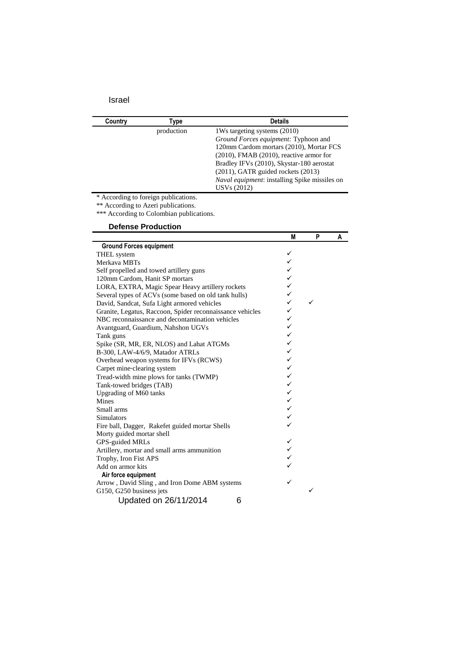| Country    | Type | <b>Details</b>                                |
|------------|------|-----------------------------------------------|
| production |      | 1Ws targeting systems (2010)                  |
|            |      | Ground Forces equipment: Typhoon and          |
|            |      | 120mm Cardom mortars (2010), Mortar FCS       |
|            |      | $(2010)$ , FMAB $(2010)$ , reactive armor for |
|            |      | Bradley IFVs (2010), Skystar-180 aerostat     |
|            |      | $(2011)$ , GATR guided rockets $(2013)$       |
|            |      | Naval equipment: installing Spike missiles on |
|            |      | USV <sub>s</sub> (2012)                       |

\* According to foreign publications.

\*\* According to Azeri publications.

\*\*\* According to Colombian publications.

## **Defense Production**

|                                                           | M | P | A |
|-----------------------------------------------------------|---|---|---|
| <b>Ground Forces equipment</b>                            |   |   |   |
| <b>THEL</b> system                                        | ✓ |   |   |
| Merkava MBTs                                              | ✓ |   |   |
| Self propelled and towed artillery guns                   | ✓ |   |   |
| 120mm Cardom, Hanit SP mortars                            | ✓ |   |   |
| LORA, EXTRA, Magic Spear Heavy artillery rockets          | ✓ |   |   |
| Several types of ACVs (some based on old tank hulls)      | ✓ |   |   |
| David, Sandcat, Sufa Light armored vehicles               | ✓ | ✓ |   |
| Granite, Legatus, Raccoon, Spider reconnaissance vehicles | ✓ |   |   |
| NBC reconnaissance and decontamination vehicles           | ✓ |   |   |
| Avantguard, Guardium, Nahshon UGVs                        | ✓ |   |   |
| Tank guns                                                 | ✓ |   |   |
| Spike (SR, MR, ER, NLOS) and Lahat ATGMs                  | ✓ |   |   |
| B-300, LAW-4/6/9, Matador ATRLs                           | ✓ |   |   |
| Overhead weapon systems for IFVs (RCWS)                   | ✓ |   |   |
| Carpet mine-clearing system                               | ✓ |   |   |
| Tread-width mine plows for tanks (TWMP)                   | ✓ |   |   |
| Tank-towed bridges (TAB)                                  | ✓ |   |   |
| Upgrading of M60 tanks                                    | ✓ |   |   |
| <b>Mines</b>                                              | ✓ |   |   |
| Small arms                                                | ✓ |   |   |
| Simulators                                                | ✓ |   |   |
| Fire ball, Dagger, Rakefet guided mortar Shells           | ✓ |   |   |
| Morty guided mortar shell                                 |   |   |   |
| GPS-guided MRLs                                           | ✓ |   |   |
| Artillery, mortar and small arms ammunition               | ✓ |   |   |
| Trophy, Iron Fist APS                                     | ✓ |   |   |
| Add on armor kits                                         |   |   |   |
| Air force equipment                                       |   |   |   |
| Arrow, David Sling, and Iron Dome ABM systems             | ✓ |   |   |
| G150, G250 business jets                                  |   | ✓ |   |
| Updated on 26/11/2014<br>6                                |   |   |   |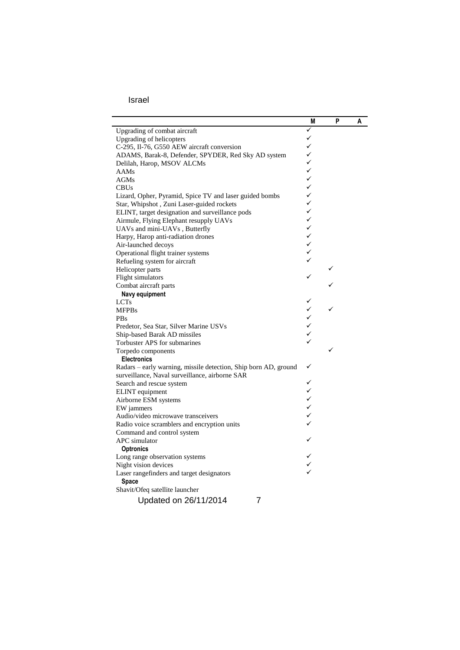|                                                                 | M            | P | A |
|-----------------------------------------------------------------|--------------|---|---|
| Upgrading of combat aircraft                                    | ✓            |   |   |
| Upgrading of helicopters                                        | ✓            |   |   |
| C-295, Il-76, G550 AEW aircraft conversion                      | ✓            |   |   |
| ADAMS, Barak-8, Defender, SPYDER, Red Sky AD system             | ✓            |   |   |
| Delilah, Harop, MSOV ALCMs                                      | ✓            |   |   |
| <b>AAMs</b>                                                     | $\checkmark$ |   |   |
| <b>AGMs</b>                                                     | $\checkmark$ |   |   |
| <b>CBUs</b>                                                     | $\checkmark$ |   |   |
| Lizard, Opher, Pyramid, Spice TV and laser guided bombs         | ✓            |   |   |
| Star, Whipshot, Zuni Laser-guided rockets                       | ✓            |   |   |
| ELINT, target designation and surveillance pods                 | ✓            |   |   |
| Airmule, Flying Elephant resupply UAVs                          | ✓            |   |   |
| UAVs and mini-UAVs, Butterfly                                   | ✓            |   |   |
| Harpy, Harop anti-radiation drones                              | ✓            |   |   |
| Air-launched decoys                                             | ✓            |   |   |
| Operational flight trainer systems                              | ✓            |   |   |
| Refueling system for aircraft                                   |              |   |   |
| Helicopter parts                                                |              | ✓ |   |
| Flight simulators                                               | ✓            |   |   |
| Combat aircraft parts                                           |              |   |   |
| Navy equipment                                                  |              |   |   |
| <b>LCTs</b>                                                     | ✓            |   |   |
| <b>MFPBs</b>                                                    | ✓            |   |   |
| <b>PBs</b>                                                      | ✓            |   |   |
| Predetor, Sea Star, Silver Marine USVs                          | ✓            |   |   |
| Ship-based Barak AD missiles                                    | ✓            |   |   |
| Torbuster APS for submarines                                    | ✓            |   |   |
| Torpedo components                                              |              | ✓ |   |
| <b>Electronics</b>                                              |              |   |   |
| Radars - early warning, missile detection, Ship born AD, ground | ✓            |   |   |
| surveillance, Naval surveillance, airborne SAR                  |              |   |   |
| Search and rescue system                                        |              |   |   |
| ELINT equipment                                                 | ✓            |   |   |
| Airborne ESM systems                                            | $\checkmark$ |   |   |
| EW jammers                                                      |              |   |   |
| Audio/video microwave transceivers                              | $\checkmark$ |   |   |
| Radio voice scramblers and encryption units                     |              |   |   |
| Command and control system                                      |              |   |   |
| APC simulator                                                   |              |   |   |
| <b>Optronics</b>                                                |              |   |   |
| Long range observation systems                                  |              |   |   |
| Night vision devices                                            |              |   |   |
| Laser rangefinders and target designators                       |              |   |   |
| <b>Space</b>                                                    |              |   |   |
| Shavit/Ofeq satellite launcher                                  |              |   |   |
| $\overline{7}$<br>Updated on 26/11/2014                         |              |   |   |
|                                                                 |              |   |   |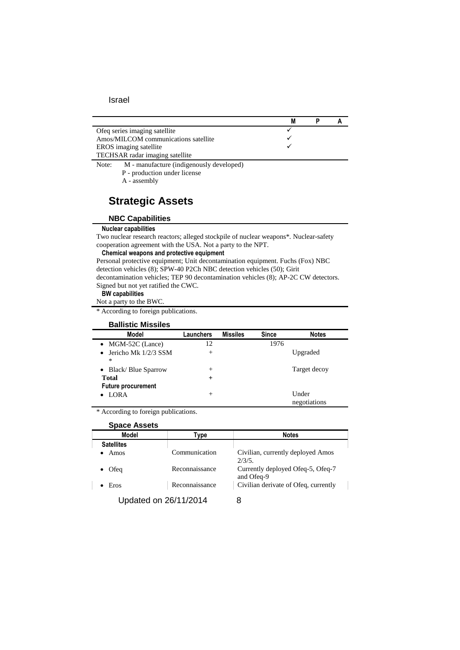| Of eq series imaging satellite                            |  |  |
|-----------------------------------------------------------|--|--|
| Amos/MILCOM communications satellite                      |  |  |
| EROS imaging satellite                                    |  |  |
| TECHSAR radar imaging satellite                           |  |  |
| M manufacture (indigenously developed)<br>$N_{\alpha}$ ta |  |  |

Note: M - manufacture (indigenously developed)

- P production under license
- A assembly

## **Strategic Assets**

#### **NBC Capabilities**

#### **Nuclear capabilities**

Two nuclear research reactors; alleged stockpile of nuclear weapons\*. Nuclear-safety cooperation agreement with the USA. Not a party to the NPT.

#### **Chemical weapons and protective equipment**

Personal protective equipment; Unit decontamination equipment. Fuchs (Fox) NBC detection vehicles (8); SPW-40 P2Ch NBC detection vehicles (50); Girit decontamination vehicles; TEP 90 decontamination vehicles (8); AP-2C CW detectors.

#### Signed but not yet ratified the CWC. **BW capabilities**

Not a party to the BWC.

\* According to foreign publications.

# **Ballistic Missiles**

| Model                                       | Launchers | <b>Missiles</b> | <b>Since</b> | <b>Notes</b>          |
|---------------------------------------------|-----------|-----------------|--------------|-----------------------|
| $\bullet$ MGM-52C (Lance)                   | 12        |                 | 1976         |                       |
| Jericho Mk 1/2/3 SSM<br>$\bullet$<br>$\ast$ | $^{+}$    |                 |              | Upgraded              |
| <b>Black/Blue Sparrow</b><br>$\bullet$      | $^{+}$    |                 |              | Target decoy          |
| <b>Total</b>                                | $\ddot{}$ |                 |              |                       |
| <b>Future procurement</b>                   |           |                 |              |                       |
| LORA                                        | $^{+}$    |                 |              | Under<br>negotiations |

\* According to foreign publications.

| <b>Space Assets</b> |                       |                                                 |  |
|---------------------|-----------------------|-------------------------------------------------|--|
| Model               | Type                  | <b>Notes</b>                                    |  |
| <b>Satellites</b>   |                       |                                                 |  |
| Amos                | Communication         | Civilian, currently deployed Amos<br>$2/3/5$ .  |  |
| Ofeg                | Reconnaissance        | Currently deployed Ofeq-5, Ofeq-7<br>and Ofeg-9 |  |
| Eros                | Reconnaissance        | Civilian derivate of Ofeq, currently            |  |
|                     | Updated on 26/11/2014 |                                                 |  |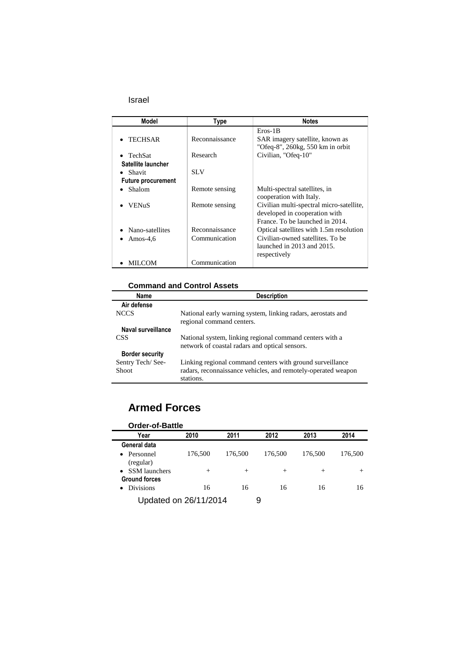| Model                     | Type           | <b>Notes</b>                                                                                                 |
|---------------------------|----------------|--------------------------------------------------------------------------------------------------------------|
| <b>TECHSAR</b>            | Reconnaissance | $Eros-1B$<br>SAR imagery satellite, known as<br>"Ofeq-8", 260kg, 550 km in orbit                             |
| $\bullet$ TechSat         | Research       | Civilian, "Ofeq-10"                                                                                          |
| Satellite launcher        |                |                                                                                                              |
| $\bullet$ Shavit          | <b>SLV</b>     |                                                                                                              |
| <b>Future procurement</b> |                |                                                                                                              |
| Shalom                    | Remote sensing | Multi-spectral satellites, in<br>cooperation with Italy.                                                     |
| <b>VENuS</b>              | Remote sensing | Civilian multi-spectral micro-satellite,<br>developed in cooperation with<br>France. To be launched in 2014. |
| Nano-satellites           | Reconnaissance | Optical satellites with 1.5m resolution                                                                      |
| Amos-4,6                  | Communication  | Civilian-owned satellites. To be<br>launched in 2013 and 2015.<br>respectively                               |
| MILCOM                    | Communication  |                                                                                                              |

### **Command and Control Assets**

| Name                   | <b>Description</b>                                                                                         |
|------------------------|------------------------------------------------------------------------------------------------------------|
| Air defense            |                                                                                                            |
| <b>NCCS</b>            | National early warning system, linking radars, aerostats and<br>regional command centers.                  |
| Naval surveillance     |                                                                                                            |
| CSS <sup>-</sup>       | National system, linking regional command centers with a<br>network of coastal radars and optical sensors. |
| <b>Border security</b> |                                                                                                            |
| Sentry Tech/See-       | Linking regional command centers with ground surveillance                                                  |
| Shoot                  | radars, reconnaissance vehicles, and remotely-operated weapon<br>stations.                                 |

## **Armed Forces**

| Year                              | 2010    | 2011    | 2012    | 2013    | 2014    |
|-----------------------------------|---------|---------|---------|---------|---------|
| General data                      |         |         |         |         |         |
| Personnel<br>$\bullet$            | 176,500 | 176,500 | 176,500 | 176,500 | 176,500 |
| (regular)                         |         |         |         |         |         |
| <b>SSM</b> launchers<br>$\bullet$ | $^{+}$  | $^{+}$  | $^+$    | $^{+}$  | $^{+}$  |
| <b>Ground forces</b>              |         |         |         |         |         |
| <b>Divisions</b>                  | 16      | 16      | 16      | 16      | 16      |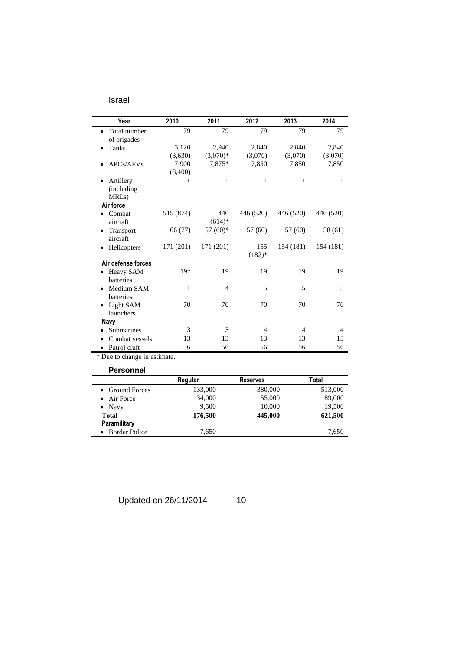| Year                                                                                                   | 2010      | 2011                 | 2012            | 2013      | 2014           |
|--------------------------------------------------------------------------------------------------------|-----------|----------------------|-----------------|-----------|----------------|
| Total number<br>$\bullet$                                                                              | 79        | 79                   | 79              | 79        | 79             |
| of brigades                                                                                            |           |                      |                 |           |                |
| <b>Tanks</b>                                                                                           | 3,120     | 2.940                | 2.840           | 2,840     | 2,840          |
|                                                                                                        | (3,630)   | $(3,070)*$           | (3,070)         | (3,070)   | (3,070)        |
| APC <sub>s</sub> /AFV <sub>s</sub>                                                                     | 7.900     | 7,875*               | 7,850           | 7,850     | 7,850          |
|                                                                                                        | (8,400)   |                      |                 |           |                |
| Artillery<br>$\bullet$<br>(including)<br>MRL <sub>s</sub> )                                            | $+$       | $^{+}$               | $^{+}$          | $+$       | $^{+}$         |
| Air force                                                                                              |           |                      |                 |           |                |
| Combat<br>٠                                                                                            | 515 (874) | 440                  | 446 (520)       | 446 (520) | 446 (520)      |
| Transport<br>٠<br>aircraft                                                                             | 66 (77)   | $57(60)*$            | 57 (60)         | 57 (60)   | 58 (61)        |
| Helicopters<br>$\bullet$                                                                               | 171 (201) | 171 (201)            | 155<br>$(182)*$ | 154 (181) | 154 (181)      |
| Air defense forces                                                                                     |           |                      |                 |           |                |
| Heavy SAM<br>$\bullet$<br>batteries                                                                    | $19*$     | 19                   | 19              | 19        | 19             |
| Medium SAM<br>$\bullet$<br><b>batteries</b>                                                            | 1         | $\overline{4}$       | 5               | 5         | 5              |
| Light SAM<br>٠                                                                                         | 70        | 70                   | 70              | 70        | 70             |
|                                                                                                        |           |                      |                 |           |                |
|                                                                                                        | 3         | 3                    | $\overline{4}$  | 4         | $\overline{4}$ |
|                                                                                                        |           |                      |                 |           |                |
|                                                                                                        |           |                      |                 |           |                |
| aircraft<br>launchers<br>Navy<br><b>Submarines</b><br>Combat vessels<br>٠<br>Patrol craft<br>$\bullet$ | 13<br>56  | $(614)*$<br>13<br>56 | 13<br>56        | 13<br>56  | 13<br>56       |

\* Due to change in estimate.

### **Personnel**

| Regular | <b>Reserves</b> | Total   |
|---------|-----------------|---------|
| 133,000 | 380,000         | 513,000 |
| 34,000  | 55,000          | 89,000  |
| 9.500   | 10,000          | 19,500  |
| 176,500 | 445,000         | 621,500 |
|         |                 |         |
| 7.650   |                 | 7,650   |
|         |                 |         |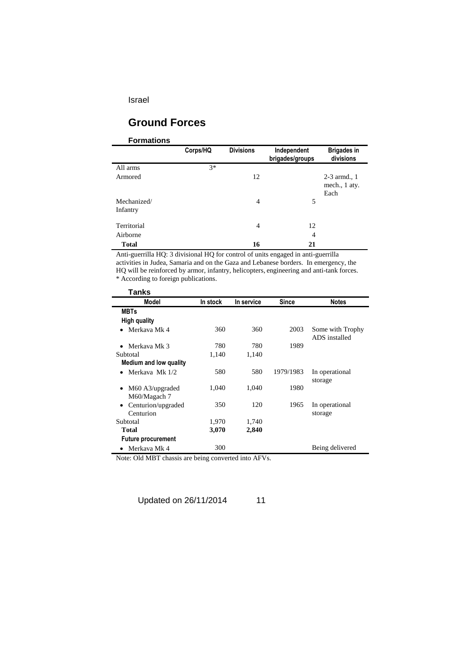## **Ground Forces**

### **Formations**

|                         | Corps/HQ | <b>Divisions</b> | Independent<br>brigades/groups | <b>Brigades in</b><br>divisions         |
|-------------------------|----------|------------------|--------------------------------|-----------------------------------------|
| All arms                | $3*$     |                  |                                |                                         |
| Armored                 |          | 12               |                                | $2-3$ armd., 1<br>mech., 1 aty.<br>Each |
| Mechanized/<br>Infantry |          | 4                | 5                              |                                         |
| Territorial             |          | 4                | 12                             |                                         |
| Airborne                |          |                  | $\overline{4}$                 |                                         |
| <b>Total</b>            |          | 16               | 21                             |                                         |

Anti-guerrilla HQ: 3 divisional HQ for control of units engaged in anti-guerrilla activities in Judea, Samaria and on the Gaza and Lebanese borders. In emergency, the HQ will be reinforced by armor, infantry, helicopters, engineering and anti-tank forces.

\* According to foreign publications.

l,

| Tanks                                |          |            |              |                                   |
|--------------------------------------|----------|------------|--------------|-----------------------------------|
| Model                                | In stock | In service | <b>Since</b> | <b>Notes</b>                      |
| <b>MBTs</b>                          |          |            |              |                                   |
| High quality                         |          |            |              |                                   |
| Merkaya Mk 4                         | 360      | 360        | 2003         | Some with Trophy<br>ADS installed |
| Merkaya Mk 3                         | 780      | 780        | 1989         |                                   |
| Subtotal                             | 1,140    | 1,140      |              |                                   |
| <b>Medium and low quality</b>        |          |            |              |                                   |
| Merkaya Mk 1/2                       | 580      | 580        | 1979/1983    | In operational<br>storage         |
| M60 A3/upgraded<br>M60/Magach 7      | 1,040    | 1,040      | 1980         |                                   |
| Centurion/upgraded<br>٠<br>Centurion | 350      | 120        | 1965         | In operational<br>storage         |
| Subtotal                             | 1,970    | 1,740      |              |                                   |
| Total                                | 3,070    | 2,840      |              |                                   |
| <b>Future procurement</b>            |          |            |              |                                   |
| Merkaya Mk 4                         | 300      |            |              | Being delivered                   |

Note: Old MBT chassis are being converted into AFVs.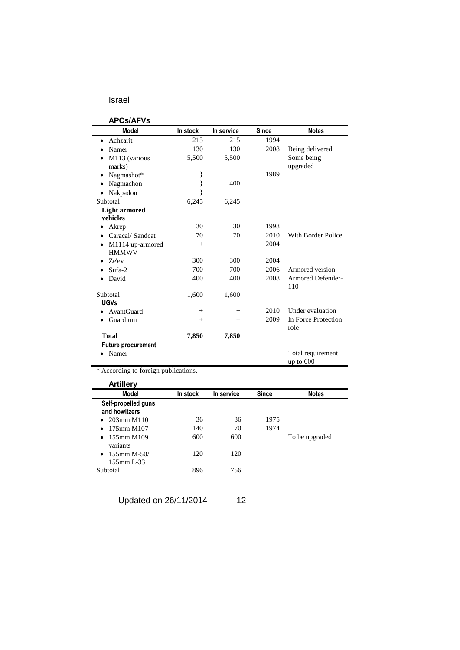### **APCs/AFVs**

| AF VƏIMI VƏ               |          |            |              |                                |
|---------------------------|----------|------------|--------------|--------------------------------|
| Model                     | In stock | In service | <b>Since</b> | <b>Notes</b>                   |
| Achzarit<br>٠             | 215      | 215        | 1994         |                                |
| Namer<br>$\bullet$        | 130      | 130        | 2008         | Being delivered                |
| M113 (various             | 5,500    | 5,500      |              | Some being                     |
| marks)                    |          |            |              | upgraded                       |
| Nagmashot*<br>٠           | ł        |            | 1989         |                                |
| Nagmachon                 |          | 400        |              |                                |
| Nakpadon                  |          |            |              |                                |
| Subtotal                  | 6,245    | 6,245      |              |                                |
| <b>Light armored</b>      |          |            |              |                                |
| vehicles                  |          |            |              |                                |
| Akrep                     | 30       | 30         | 1998         |                                |
| Caracal/Sandcat           | 70       | 70         | 2010         | With Border Police             |
| M1114 up-armored<br>٠     | $+$      | $+$        | 2004         |                                |
| <b>HMMWV</b>              |          |            |              |                                |
| Ze'ev<br>$\bullet$        | 300      | 300        | 2004         |                                |
| Sufa-2<br>٠               | 700      | 700        | 2006         | Armored version                |
| David                     | 400      | 400        | 2008         | Armored Defender-<br>110       |
| Subtotal                  | 1,600    | 1,600      |              |                                |
| <b>UGVs</b>               |          |            |              |                                |
| <b>AvantGuard</b>         | $^{+}$   | $+$        | 2010         | Under evaluation               |
| Guardium                  | $+$      | $+$        | 2009         | In Force Protection<br>role    |
| <b>Total</b>              | 7,850    | 7,850      |              |                                |
| <b>Future procurement</b> |          |            |              |                                |
| Namer                     |          |            |              | Total requirement<br>up to 600 |

\* According to foreign publications.

| <b>Artillery</b>                                |          |            |              |                |
|-------------------------------------------------|----------|------------|--------------|----------------|
| <b>Model</b>                                    | In stock | In service | <b>Since</b> | <b>Notes</b>   |
| Self-propelled guns<br>and howitzers            |          |            |              |                |
| $203$ mm M110<br>$\bullet$                      | 36       | 36         | 1975         |                |
| 175mm M107<br>$\bullet$                         | 140      | 70         | 1974         |                |
| 155mm M109<br>$\bullet$<br>variants             | 600      | 600        |              | To be upgraded |
| $155$ mm M-50/<br>$\bullet$<br>$155$ mm L $-33$ | 120      | 120        |              |                |
| Subtotal                                        | 896      | 756        |              |                |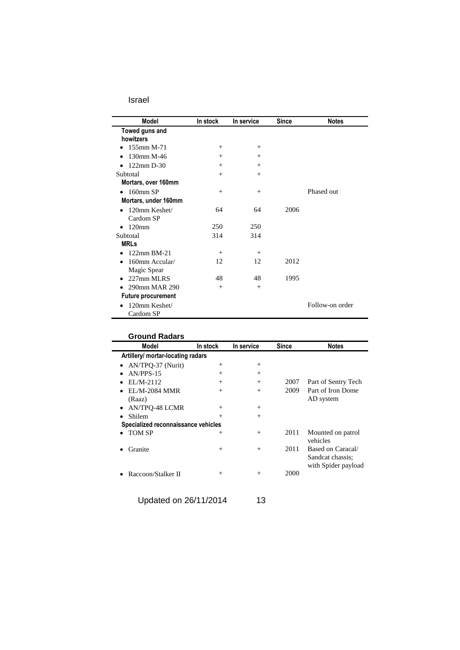| Model                                   | In stock | In service | Since | <b>Notes</b>    |
|-----------------------------------------|----------|------------|-------|-----------------|
| Towed guns and<br>howitzers             |          |            |       |                 |
| 155mm M-71                              | $+$      | $^{+}$     |       |                 |
| 130mm M-46<br>$\bullet$                 | $^{+}$   | $^{+}$     |       |                 |
| 122mm D-30<br>$\bullet$                 | $^{+}$   | $^{+}$     |       |                 |
| Subtotal                                | $^{+}$   | $^{+}$     |       |                 |
| Mortars, over 160mm                     |          |            |       |                 |
| $160$ mm SP                             | $^{+}$   | $^{+}$     |       | Phased out      |
| Mortars, under 160mm                    |          |            |       |                 |
| 120mm Keshet/<br>$\bullet$<br>Cardom SP | 64       | 64         | 2006  |                 |
| 120 <sub>mm</sub><br>$\bullet$          | 250      | 250        |       |                 |
| Subtotal                                | 314      | 314        |       |                 |
| <b>MRLs</b>                             |          |            |       |                 |
| 122mm BM-21                             | $^{+}$   | $^{+}$     |       |                 |
| 160mm Accular/<br>$\bullet$             | 12       | 12         | 2012  |                 |
| Magic Spear                             |          |            |       |                 |
| 227mm MLRS<br>$\bullet$                 | 48       | 48         | 1995  |                 |
| 290mm MAR 290<br>$\bullet$              | $^{+}$   | $+$        |       |                 |
| <b>Future procurement</b>               |          |            |       |                 |
| 120mm Keshet/<br>$\bullet$<br>Cardom SP |          |            |       | Follow-on order |

| Model                               | In stock | In service | Since | <b>Notes</b>                                                 |
|-------------------------------------|----------|------------|-------|--------------------------------------------------------------|
| Artillery/ mortar-locating radars   |          |            |       |                                                              |
| AN/TPQ-37 (Nurit)<br>$\bullet$      | $^{+}$   | $^{+}$     |       |                                                              |
| $AN/PPS-15$                         | $^{+}$   | $^{+}$     |       |                                                              |
| $EL/M-2112$                         | $^{+}$   | $^{+}$     | 2007  | Part of Sentry Tech                                          |
| EL/M-2084 MMR                       | $^{+}$   | $^{+}$     | 2009  | Part of Iron Dome                                            |
| (Raaz)                              |          |            |       | AD system                                                    |
| <b>AN/TPO-48 LCMR</b>               | $^{+}$   | $^{+}$     |       |                                                              |
| <b>Shilem</b>                       | $^{+}$   | $^{+}$     |       |                                                              |
| Specialized reconnaissance vehicles |          |            |       |                                                              |
| <b>TOM SP</b>                       | $^{+}$   | $^{+}$     | 2011  | Mounted on patrol<br>vehicles                                |
| Granite                             | $^{+}$   | $^{+}$     | 2011  | Based on Caracal/<br>Sandcat chassis:<br>with Spider payload |
| Raccoon/Stalker II                  | $^{+}$   | $^{+}$     | 2000  |                                                              |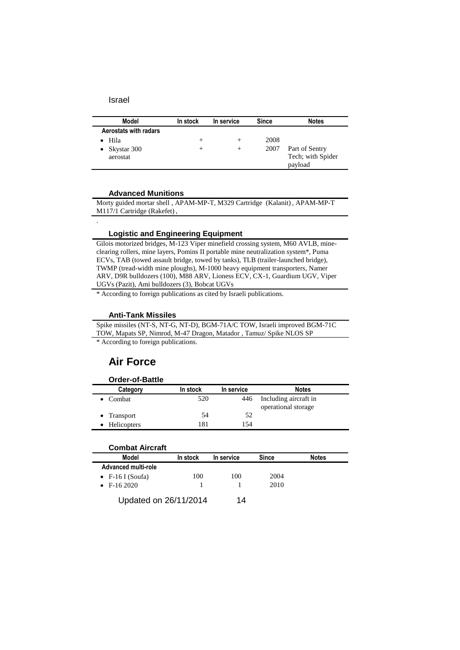.

| Model                    | In stock | In service | Since | <b>Notes</b>      |
|--------------------------|----------|------------|-------|-------------------|
| Aerostats with radars    |          |            |       |                   |
| Hila                     | +        |            | 2008  |                   |
| Skystar 300<br>$\bullet$ | +        | $^+$       | 2007  | Part of Sentry    |
| aerostat                 |          |            |       | Tech; with Spider |
|                          |          |            |       | payload           |

#### **Advanced Munitions**

Morty guided mortar shell , APAM-MP-T, M329 Cartridge (Kalanit) , APAM-MP-T M117/1 Cartridge (Rakefet) ,

#### **Logistic and Engineering Equipment**

Gilois motorized bridges, M-123 Viper minefield crossing system, M60 AVLB, mineclearing rollers, mine layers, Pomins II portable mine neutralization system\*, Puma ECVs, TAB (towed assault bridge, towed by tanks), TLB (trailer-launched bridge), TWMP (tread-width mine ploughs), M-1000 heavy equipment transporters, Namer ARV, D9R bulldozers (100), M88 ARV, Lioness ECV, CX-1, Guardium UGV, Viper UGVs (Pazit), Ami bulldozers (3), Bobcat UGVs

\* According to foreign publications as cited by Israeli publications.

#### **Anti-Tank Missiles**

Spike missiles (NT-S, NT-G, NT-D), BGM-71A/C TOW, Israeli improved BGM-71C TOW, Mapats SP, Nimrod, M-47 Dragon, Matador , Tamuz/ Spike NLOS SP

\* According to foreign publications.

### **Air Force**

### **Order-of-Battle**

| Category            | In stock | In service | <b>Notes</b>                                 |
|---------------------|----------|------------|----------------------------------------------|
| $\bullet$ Combat    | 520      | 446        | Including aircraft in<br>operational storage |
| $\bullet$ Transport | 54       | 52         |                                              |
| Helicopters         | 181      | 154        |                                              |

| <b>Combat Aircraft</b> |          |            |       |              |
|------------------------|----------|------------|-------|--------------|
| Model                  | In stock | In service | Since | <b>Notes</b> |
| Advanced multi-role    |          |            |       |              |
| • $F-16$ I (Soufa)     | 100      | 100        | 2004  |              |
| $\bullet$ F-16 2020    |          |            | 2010  |              |
| Updated on 26/11/2014  |          | 14         |       |              |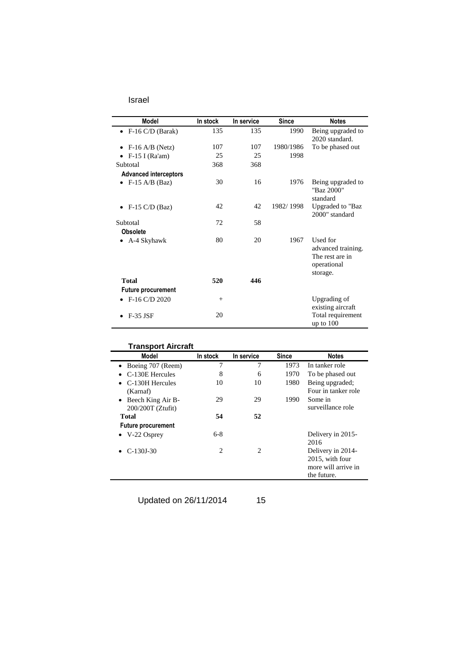| Model                        | In stock | In service | <b>Since</b> | <b>Notes</b>                                                                 |
|------------------------------|----------|------------|--------------|------------------------------------------------------------------------------|
| $\bullet$ F-16 C/D (Barak)   | 135      | 135        | 1990         | Being upgraded to<br>2020 standard.                                          |
| • F-16 A/B (Netz)            | 107      | 107        | 1980/1986    | To be phased out                                                             |
| $\bullet$ F-15 I (Ra'am)     | 25       | 25         | 1998         |                                                                              |
| Subtotal                     | 368      | 368        |              |                                                                              |
| <b>Advanced interceptors</b> |          |            |              |                                                                              |
| • F-15 A/B (Baz)             | 30       | 16         | 1976         | Being upgraded to<br>"Baz 2000"<br>standard                                  |
| $\bullet$ F-15 C/D (Baz)     | 42       | 42         | 1982/1998    | Upgraded to "Baz<br>2000" standard                                           |
| Subtotal                     | 72       | 58         |              |                                                                              |
| <b>Obsolete</b>              |          |            |              |                                                                              |
| A-4 Skyhawk<br>٠             | 80       | 20         | 1967         | Used for<br>advanced training.<br>The rest are in<br>operational<br>storage. |
| Total                        | 520      | 446        |              |                                                                              |
| <b>Future procurement</b>    |          |            |              |                                                                              |
| • F-16 C/D 2020              | $^{+}$   |            |              | Upgrading of<br>existing aircraft                                            |
| <b>F-35 JSF</b>              | 20       |            |              | Total requirement<br>up to $100$                                             |

| Model                                    | In stock       | In service     | <b>Since</b> | <b>Notes</b>                                                               |
|------------------------------------------|----------------|----------------|--------------|----------------------------------------------------------------------------|
| • Boeing 707 (Reem)                      | 7              | 7              | 1973         | In tanker role                                                             |
| C-130E Hercules                          | 8              | 6              | 1970         | To be phased out                                                           |
| $\bullet$ C-130H Hercules<br>(Karnaf)    | 10             | 10             | 1980         | Being upgraded;<br>Four in tanker role                                     |
| Beech King Air B-<br>$200/200T$ (Ztufit) | 29             | 29             | 1990         | Some in<br>surveillance role                                               |
| Total                                    | 54             | 52             |              |                                                                            |
| <b>Future procurement</b>                |                |                |              |                                                                            |
| $\bullet$ V-22 Osprey                    | $6-8$          |                |              | Delivery in 2015-<br>2016                                                  |
| • $C-130J-30$                            | $\overline{c}$ | $\mathfrak{D}$ |              | Delivery in 2014-<br>2015, with four<br>more will arrive in<br>the future. |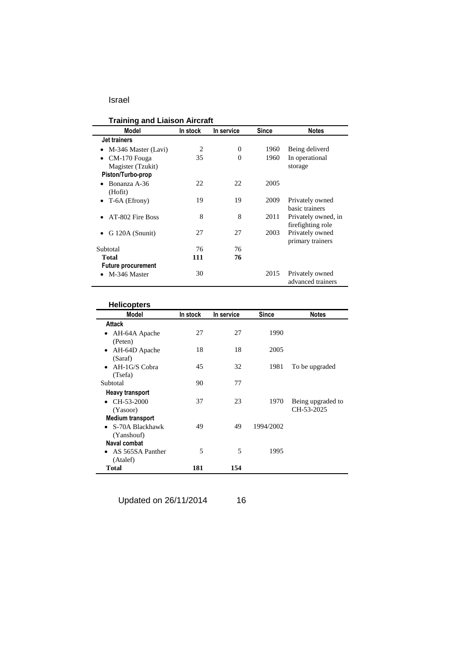| <b>Training and Liaison Aircraft</b> |          |                |       |                     |  |
|--------------------------------------|----------|----------------|-------|---------------------|--|
| Model                                | In stock | In service     | Since | <b>Notes</b>        |  |
| Jet trainers                         |          |                |       |                     |  |
| M-346 Master (Lavi)<br>$\bullet$     | 2        | $\overline{0}$ | 1960  | Being deliverd      |  |
| CM-170 Fouga<br>$\bullet$            | 35       | $\Omega$       | 1960  | In operational      |  |
| Magister (Tzukit)                    |          |                |       | storage             |  |
| Piston/Turbo-prop                    |          |                |       |                     |  |
| Bonanza A-36                         | 22       | 22             | 2005  |                     |  |
| (Hofit)                              |          |                |       |                     |  |
| T-6A (Efrony)                        | 19       | 19             | 2009  | Privately owned     |  |
|                                      |          |                |       | basic trainers      |  |
| AT-802 Fire Boss                     | 8        | 8              | 2011  | Privately owned, in |  |
|                                      |          |                |       | firefighting role   |  |
| G 120A (Snunit)<br>$\bullet$         | 27       | 27             | 2003  | Privately owned     |  |
|                                      |          |                |       | primary trainers    |  |
| Subtotal                             | 76       | 76             |       |                     |  |
| <b>Total</b>                         | 111      | 76             |       |                     |  |
| <b>Future procurement</b>            |          |                |       |                     |  |
| M-346 Master                         | 30       |                | 2015  | Privately owned     |  |
|                                      |          |                |       | advanced trainers   |  |

| <b>Helicopters</b>           |          |            |              |                   |
|------------------------------|----------|------------|--------------|-------------------|
| Model                        | In stock | In service | <b>Since</b> | <b>Notes</b>      |
| Attack                       |          |            |              |                   |
| AH-64A Apache<br>٠           | 27       | 27         | 1990         |                   |
| (Peten)                      |          |            |              |                   |
| AH-64D Apache<br>$\bullet$   | 18       | 18         | 2005         |                   |
| (Saraf)                      |          |            |              |                   |
| $AH-1G/S$ Cobra<br>$\bullet$ | 45       | 32         | 1981         | To be upgraded    |
| (Tsefa)                      |          |            |              |                   |
| Subtotal                     | 90       | 77         |              |                   |
| <b>Heavy transport</b>       |          |            |              |                   |
| CH-53-2000                   | 37       | 23         | 1970         | Being upgraded to |
| (Yasoor)                     |          |            |              | CH-53-2025        |
| <b>Medium transport</b>      |          |            |              |                   |
| S-70A Blackhawk<br>$\bullet$ | 49       | 49         | 1994/2002    |                   |
| (Yanshouf)                   |          |            |              |                   |
| Naval combat                 |          |            |              |                   |
| AS 565SA Panther             | 5        | 5          | 1995         |                   |
| (Atalef)                     |          |            |              |                   |
| <b>Total</b>                 | 181      | 154        |              |                   |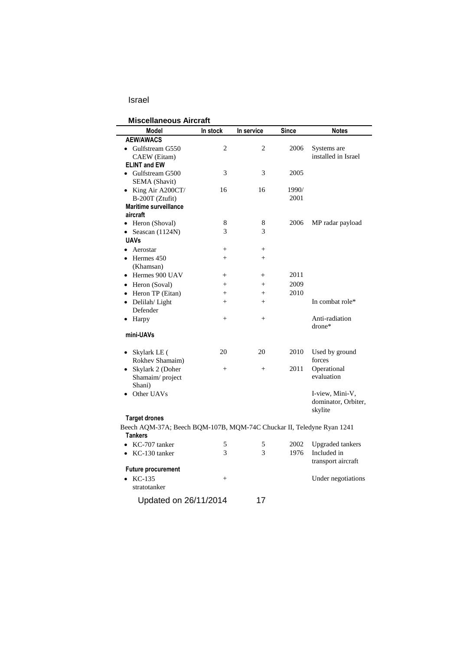| <b>Miscellaneous Aircraft</b>                                                           |                |                |              |                                                   |  |
|-----------------------------------------------------------------------------------------|----------------|----------------|--------------|---------------------------------------------------|--|
| Model                                                                                   | In stock       | In service     | <b>Since</b> | <b>Notes</b>                                      |  |
| <b>AEW/AWACS</b>                                                                        |                |                |              |                                                   |  |
| • Gulfstream G550                                                                       | $\overline{c}$ | 2              | 2006         | Systems are                                       |  |
| CAEW (Eitam)                                                                            |                |                |              | installed in Israel                               |  |
| <b>ELINT and EW</b>                                                                     |                |                |              |                                                   |  |
| Gulfstream G500                                                                         | 3              | 3              | 2005         |                                                   |  |
| SEMA (Shavit)                                                                           |                |                |              |                                                   |  |
| • King Air A200CT/                                                                      | 16             | 16             | 1990/        |                                                   |  |
| B-200T (Ztufit)                                                                         |                |                | 2001         |                                                   |  |
| <b>Maritime surveillance</b><br>aircraft                                                |                |                |              |                                                   |  |
| • Heron (Shoval)                                                                        | 8              | 8              | 2006         | MP radar payload                                  |  |
| Seascan (1124N)<br>٠                                                                    | 3              | 3              |              |                                                   |  |
| <b>UAVs</b>                                                                             |                |                |              |                                                   |  |
| Aerostar<br>$\bullet$                                                                   | $^{+}$         | $^{+}$         |              |                                                   |  |
| Hermes 450                                                                              | $^{+}$         | $+$            |              |                                                   |  |
| (Khamsan)                                                                               |                |                |              |                                                   |  |
| • Hermes 900 UAV                                                                        | $+$            | $\overline{+}$ | 2011         |                                                   |  |
| Heron (Soval)<br>$\bullet$                                                              | $^{+}$         | $+$            | 2009         |                                                   |  |
| • Heron TP (Eitan)                                                                      | $\ddot{}$      | $^{+}$         | 2010         |                                                   |  |
| Delilah/Light<br>$\bullet$                                                              | $^{+}$         | $+$            |              | In combat role*                                   |  |
| Defender                                                                                |                |                |              |                                                   |  |
| Harpy<br>$\bullet$                                                                      | $^{+}$         | $+$            |              | Anti-radiation<br>drone*                          |  |
| mini-UAVs                                                                               |                |                |              |                                                   |  |
| Skylark LE (                                                                            | 20             | 20             | 2010         | Used by ground                                    |  |
| Rokhev Shamaim)                                                                         |                |                |              | forces                                            |  |
| • Skylark 2 (Doher                                                                      | $^{+}$         | $^{+}$         | 2011         | Operational                                       |  |
| Shamaim/project                                                                         |                |                |              | evaluation                                        |  |
| Shani)                                                                                  |                |                |              |                                                   |  |
| Other UAVs                                                                              |                |                |              | I-view, Mini-V,<br>dominator, Orbiter,<br>skylite |  |
| <b>Target drones</b>                                                                    |                |                |              |                                                   |  |
| Beech AQM-37A; Beech BQM-107B, MQM-74C Chuckar II, Teledyne Ryan 1241<br><b>Tankers</b> |                |                |              |                                                   |  |
| KC-707 tanker                                                                           | 5              | 5              | 2002         | <b>Upgraded</b> tankers                           |  |
| KC-130 tanker<br>$\bullet$                                                              | 3              | 3              | 1976         | Included in                                       |  |
| <b>Future procurement</b>                                                               |                |                |              | transport aircraft                                |  |
| $KC-135$<br>$\bullet$                                                                   | $^{+}$         |                |              | Under negotiations                                |  |
| stratotanker                                                                            |                |                |              |                                                   |  |
| Updated on 26/11/2014                                                                   |                | 17             |              |                                                   |  |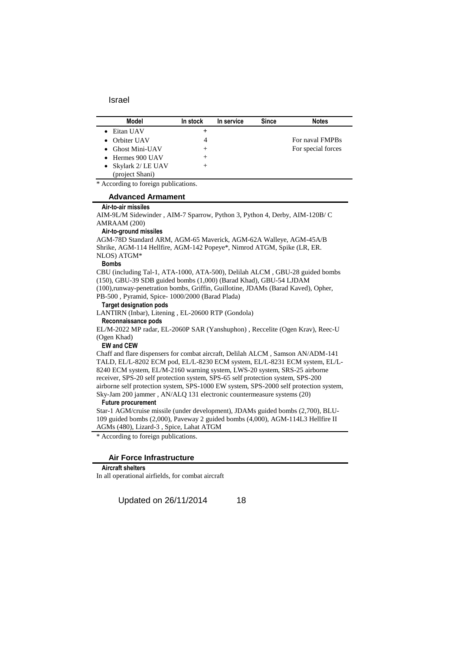| Model                    | In stock | In service | <b>Since</b> | <b>Notes</b>       |
|--------------------------|----------|------------|--------------|--------------------|
| Eitan UAV                | +        |            |              |                    |
| • Orbiter UAV            |          |            |              | For naval FMPBs    |
| $\bullet$ Ghost Mini-UAV | +        |            |              | For special forces |
| $\bullet$ Hermes 900 UAV | +        |            |              |                    |
| • Skylark 2/ LE UAV      | +        |            |              |                    |
| (project Shani)          |          |            |              |                    |

\* According to foreign publications.

#### **Advanced Armament**

#### **Air-to-air missiles**

AIM-9L/M Sidewinder , AIM-7 Sparrow, Python 3, Python 4, Derby, AIM-120B/ C AMRAAM (200)

#### **Air-to-ground missiles**

AGM-78D Standard ARM, AGM-65 Maverick, AGM-62A Walleye, AGM-45A/B Shrike, AGM-114 Hellfire, AGM-142 Popeye\*, Nimrod ATGM, Spike (LR, ER. NLOS) ATGM\*

#### **Bombs**

CBU (including Tal-1, ATA-1000, ATA-500), Delilah ALCM , GBU-28 guided bombs (150), GBU-39 SDB guided bombs (1,000) (Barad Khad), GBU-54 LJDAM

(100),runway-penetration bombs, Griffin, Guillotine, JDAMs (Barad Kaved), Opher, PB-500 , Pyramid, Spice- 1000/2000 (Barad Plada)

#### **Target designation pods**

LANTIRN (Inbar), Litening , EL-20600 RTP (Gondola) **Reconnaissance pods**

EL/M-2022 MP radar, EL-2060P SAR (Yanshuphon) , Reccelite (Ogen Krav), Reec-U (Ogen Khad)

### **EW and CEW**

Chaff and flare dispensers for combat aircraft, Delilah ALCM , Samson AN/ADM-141 TALD, EL/L-8202 ECM pod, EL/L-8230 ECM system, EL/L-8231 ECM system, EL/L-8240 ECM system, EL/M-2160 warning system, LWS-20 system, SRS-25 airborne receiver, SPS-20 self protection system, SPS-65 self protection system, SPS-200 airborne self protection system, SPS-1000 EW system, SPS-2000 self protection system, Sky-Jam 200 jammer , AN/ALQ 131 electronic countermeasure systems (20)

#### **Future procurement**

Star-1 AGM/cruise missile (under development), JDAMs guided bombs (2,700), BLU-109 guided bombs (2,000), Paveway 2 guided bombs (4,000), AGM-114L3 Hellfire II AGMs (480), Lizard-3 , Spice, Lahat ATGM

\* According to foreign publications.

#### **Air Force Infrastructure**

#### **Aircraft shelters**

In all operational airfields, for combat aircraft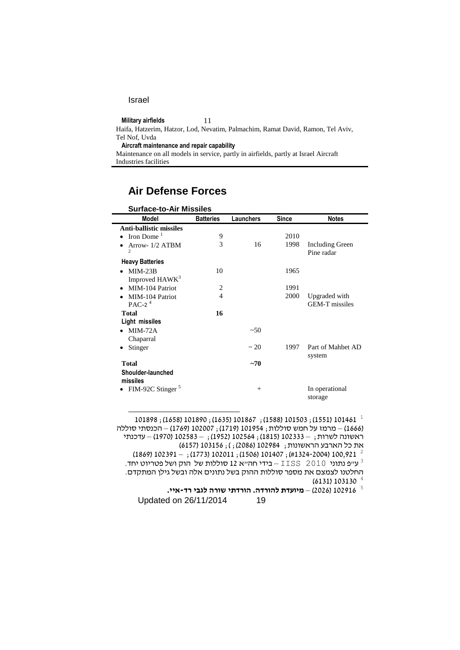$\overline{a}$ 

**Military airfields** 11

Haifa, Hatzerim, Hatzor, Lod, Nevatim, Palmachim, Ramat David, Ramon, Tel Aviv, Tel Nof, Uvda

**Aircraft maintenance and repair capability**

Maintenance on all models in service, partly in airfields, partly at Israel Aircraft Industries facilities

## **Air Defense Forces**

| <b>Surface-to-Air Missiles</b>    |                  |                  |       |                               |
|-----------------------------------|------------------|------------------|-------|-------------------------------|
| Model                             | <b>Batteries</b> | <b>Launchers</b> | Since | <b>Notes</b>                  |
| <b>Anti-ballistic missiles</b>    |                  |                  |       |                               |
| Iron Dome $1$                     | 9                |                  | 2010  |                               |
| Arrow- 1/2 ATBM<br>$\overline{c}$ | 3                | 16               | 1998  | Including Green<br>Pine radar |
| <b>Heavy Batteries</b>            |                  |                  |       |                               |
| $MIM-23B$                         | 10               |                  | 1965  |                               |
| Improved HAWK <sup>3</sup>        |                  |                  |       |                               |
| MIM-104 Patriot                   | 2                |                  | 1991  |                               |
| MIM-104 Patriot                   | 4                |                  | 2000  | Upgraded with                 |
| PAC-2 $4$                         |                  |                  |       | <b>GEM-T</b> missiles         |
| <b>Total</b>                      | 16               |                  |       |                               |
| Light missiles                    |                  |                  |       |                               |
| $MIM-72A$                         |                  | $~10^{-5}$       |       |                               |
| Chaparral                         |                  |                  |       |                               |
| Stinger                           |                  | ~20              | 1997  | Part of Mahbet AD             |
| <b>Total</b>                      |                  | $-70$            |       | system                        |
| Shoulder-launched                 |                  |                  |       |                               |
| missiles                          |                  |                  |       |                               |
| FIM-92C Stinger <sup>5</sup>      |                  | $^{+}$           |       | In operational<br>storage     |
|                                   |                  |                  |       |                               |

 $101898$  ; (1658) 101890 ; (1635) 101867 ; (1588) 101503 ; (1551) 101461  $^{\,1}$ )1000( – מרמז על חמש סוללות; 161051 )1110(; 160661 )1100( – הכנסתי סוללה ראשונה לשרות; – 160111 )1115(; 160501 )1050(; – 160511 )1016( – עדכנתי את כל הארבע הראשונות; 102984 (2086);); 6157) 103156

(1869) 102391  $-$  ; (1773) 102011 ; (1506) 101407 ; (#1324-2004) 100,921  $^{-2}$ . עייפ נתוני 2010  $\times$  IISS  $-$ בידי חה"א 12 סוללות של הוק ושל פטריוט יחד. החלטנו לצמצם את מספר סוללות ההוק בשל נתונים אלה ובשל גילן המתקדם.  $(6131) 103130$ <sup>4</sup>

5 160010 )0600( – **מיועדת להורדה. הורדתי שורה לגבי רד-איי.**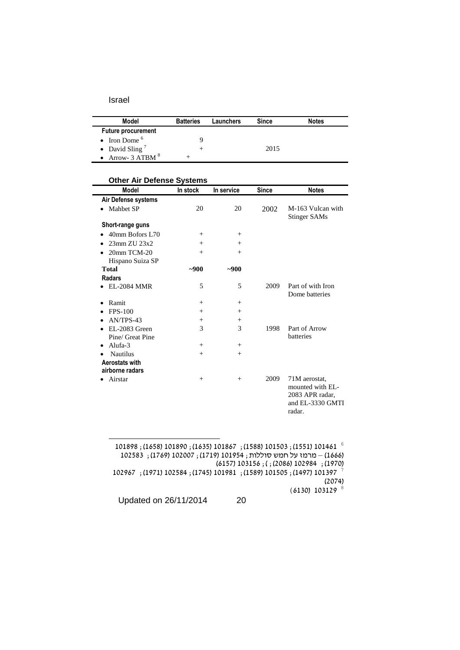$\overline{a}$ 

| Model                      | <b>Batteries</b> | Launchers | <b>Since</b> | <b>Notes</b> |  |
|----------------------------|------------------|-----------|--------------|--------------|--|
| <b>Future procurement</b>  |                  |           |              |              |  |
| • Iron Dome $6$            |                  |           |              |              |  |
| • David Sling <sup>7</sup> |                  |           | 2015         |              |  |
| • Arrow- $3$ ATBM $8$      |                  |           |              |              |  |

### **Other Air Defense Systems**

| <b>Model</b>        | In stock | In service | <b>Since</b> | <b>Notes</b>                                                                       |
|---------------------|----------|------------|--------------|------------------------------------------------------------------------------------|
| Air Defense systems |          |            |              |                                                                                    |
| Mahbet SP           | 20       | 20         | 2002         | M-163 Vulcan with<br><b>Stinger SAMs</b>                                           |
| Short-range guns    |          |            |              |                                                                                    |
| 40mm Bofors L70     | $^{+}$   | $^{+}$     |              |                                                                                    |
| $23$ mm $ZU$ $23x2$ | $^{+}$   | $^{+}$     |              |                                                                                    |
| 20mm TCM-20         | $^{+}$   | $^{+}$     |              |                                                                                    |
| Hispano Suiza SP    |          |            |              |                                                                                    |
| <b>Total</b>        | $-900$   | $-900$     |              |                                                                                    |
| <b>Radars</b>       |          |            |              |                                                                                    |
| <b>EL-2084 MMR</b>  | 5        | 5          | 2009         | Part of with Iron<br>Dome batteries                                                |
| Ramit               | $^{+}$   | $+$        |              |                                                                                    |
| <b>FPS-100</b>      | $^{+}$   | $+$        |              |                                                                                    |
| AN/TPS-43           | $^{+}$   | $^{+}$     |              |                                                                                    |
| EL-2083 Green       | 3        | 3          | 1998         | Part of Arrow                                                                      |
| Pine/ Great Pine    |          |            |              | batteries                                                                          |
| Alufa- $3$          | $^{+}$   | $^{+}$     |              |                                                                                    |
| <b>Nautilus</b>     | $^{+}$   | $+$        |              |                                                                                    |
| Aerostats with      |          |            |              |                                                                                    |
| airborne radars     |          |            |              |                                                                                    |
| Airstar             | $^{+}$   | $+$        | 2009         | 71M aerostat.<br>mounted with EL-<br>2083 APR radar,<br>and EL-3330 GMTI<br>radar. |

101898 ; (1658) 101890 ; (1635) 101867 ; (1588) 101503 ; (1551) 101461  $^{-6}$ 102583 ; 1769) 102007 ; 1719) 101954 (; 1719) 011954 ); 102583 (1970); 102964 (2086); ); (2086) 102967 (16157) 103156<br><sup>7</sup> 101397 (1497); 101505 (1589) 101505 (1497) 101397 (1619); 101397  $(2074)$  $(6130) 103129$ <sup>8</sup>

Updated on 26/11/2014 20

1

$$
f_{\rm{max}}
$$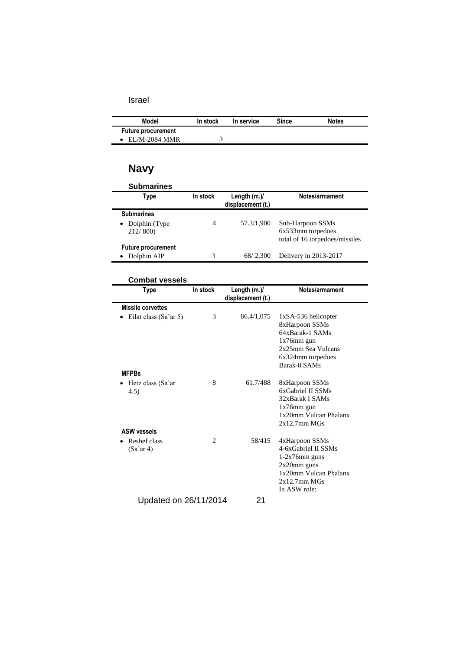| Model                     | In stock | In service | Since | <b>Notes</b> |
|---------------------------|----------|------------|-------|--------------|
| <b>Future procurement</b> |          |            |       |              |
| $\bullet$ EL/M-2084 MMR   |          |            |       |              |

# **Navy**

| <b>Submarines</b>           |          |                                     |                                |
|-----------------------------|----------|-------------------------------------|--------------------------------|
| Type                        | In stock | Length $(m.)/$<br>displacement (t.) | Notes/armament                 |
| <b>Submarines</b>           |          |                                     |                                |
| Dolphin (Type)<br>$\bullet$ | 4        | 57.3/1,900                          | Sub-Harpoon SSMs               |
| 212/800                     |          |                                     | 6x533mm torpedoes              |
|                             |          |                                     | total of 16 torpedoes/missiles |
| <b>Future procurement</b>   |          |                                     |                                |
| Dolphin AIP                 | 3        | 68/2,300                            | Delivery in 2013-2017          |

### **Combat vessels**

| <b>Type</b>                | In stock       | Length $(m.)/$<br>displacement (t.) | Notes/armament                                                                                                                             |
|----------------------------|----------------|-------------------------------------|--------------------------------------------------------------------------------------------------------------------------------------------|
| <b>Missile corvettes</b>   |                |                                     |                                                                                                                                            |
| Eilat class (Sa'ar 5)      | 3              | 86.4/1,075                          | $1xSA-536$ helicopter<br>8xHarpoon SSMs<br>64xBarak-1 SAMs<br>$1x76$ mm gun<br>2x25mm Sea Vulcans<br>6x324mm torpedoes<br>Barak-8 SAMs     |
| <b>MFPBs</b>               |                |                                     |                                                                                                                                            |
| Hetz class (Sa'ar<br>(4.5) | 8              | 61.7/488                            | 8xHarpoon SSMs<br>6xGabriel II SSMs<br>32xBarak I SAMs<br>$1x76$ mm gun<br>1x20mm Vulcan Phalanx<br>$2x12.7$ mm M $Gs$                     |
| <b>ASW vessels</b>         |                |                                     |                                                                                                                                            |
| Reshef class<br>(Sa'ar 4)  | $\overline{c}$ | 58/415                              | 4xHarpoon SSMs<br>4-6xGabriel II SSMs<br>$1-2x76$ mm guns<br>$2x20$ mm guns<br>1x20mm Vulcan Phalanx<br>$2x12.7$ mm M $Gs$<br>In ASW role: |
| Updated on 26/11/2014      |                | 21                                  |                                                                                                                                            |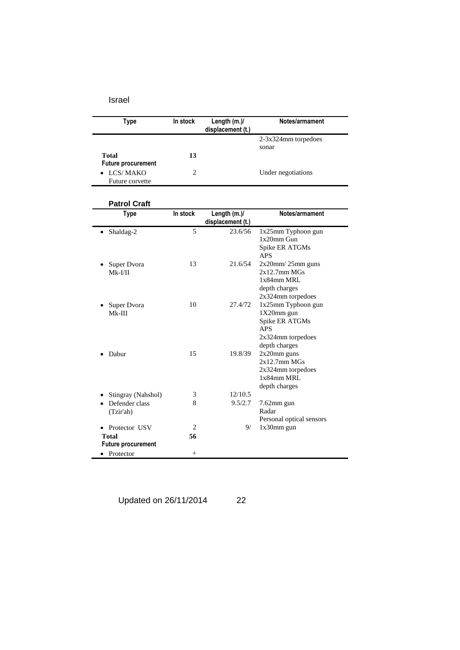| <b>Type</b>                                              | In stock       | Length (m.)/<br>displacement (t.) | Notes/armament                                                                                         |
|----------------------------------------------------------|----------------|-----------------------------------|--------------------------------------------------------------------------------------------------------|
|                                                          |                |                                   | 2-3x324mm torpedoes                                                                                    |
| <b>Total</b><br><b>Future procurement</b>                | 13             |                                   | sonar                                                                                                  |
| LCS/MAKO<br>Future corvette                              | $\overline{2}$ |                                   | Under negotiations                                                                                     |
| <b>Patrol Craft</b>                                      |                |                                   |                                                                                                        |
| <b>Type</b>                                              | In stock       | Length (m.)/<br>displacement (t.) | Notes/armament                                                                                         |
| Shaldag-2                                                | 5              | 23.6/56                           | 1x25mm Typhoon gun<br>$1x20$ mm Gun<br>Spike ER ATGMs<br><b>APS</b>                                    |
| Super Dvora<br>$Mk-I/II$                                 | 13             | 21.6/54                           | $2x20$ mm $/25$ mm guns<br>2x12.7mm MGs<br>1x84mm MRL<br>depth charges<br>2x324mm torpedoes            |
| Super Dvora<br>$Mk-III$                                  | 10             | 27.4/72                           | 1x25mm Typhoon gun<br>1X20mm gun<br>Spike ER ATGMs<br><b>APS</b><br>2x324mm torpedoes<br>depth charges |
| Dabur                                                    | 15             | 19.8/39                           | $2x20$ mm guns<br>2x12.7mm MGs<br>2x324mm torpedoes<br>1x84mm MRL<br>depth charges                     |
| Stingray (Nahshol)                                       | 3              | 12/10.5                           |                                                                                                        |
| Defender class<br>(Tzir'ah)                              | 8              | 9.5/2.7                           | $7.62$ mm gun<br>Radar<br>Personal optical sensors                                                     |
| Protector USV<br>٠<br>Total<br><b>Future procurement</b> | 2<br>56        | 9/                                | $1x30$ mm gun                                                                                          |

Updated on 26/11/2014 22

• Protector +